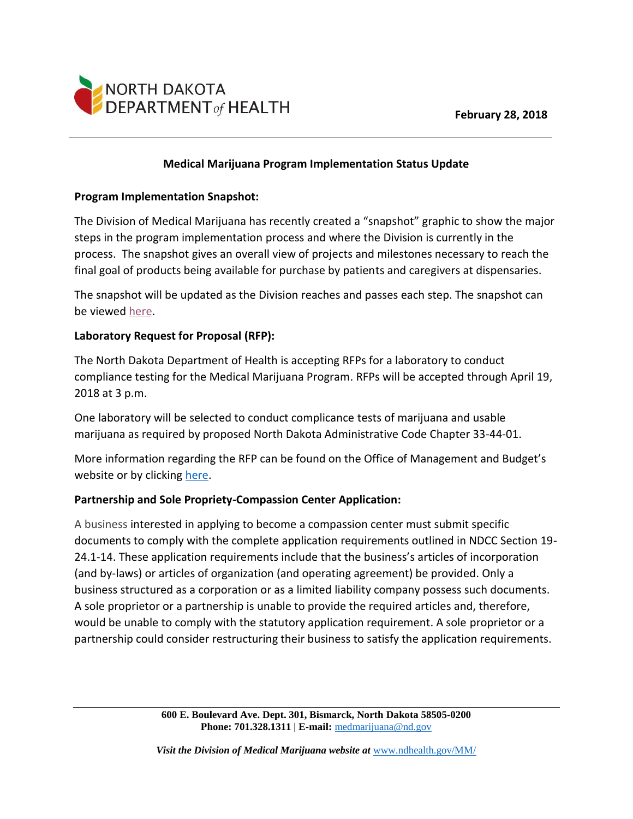

# **Medical Marijuana Program Implementation Status Update**

## **Program Implementation Snapshot:**

The Division of Medical Marijuana has recently created a "snapshot" graphic to show the major steps in the program implementation process and where the Division is currently in the process. The snapshot gives an overall view of projects and milestones necessary to reach the final goal of products being available for purchase by patients and caregivers at dispensaries.

The snapshot will be updated as the Division reaches and passes each step. The snapshot can be viewe[d here.](https://www.ndhealth.gov/mm/pubs/Program_Implementation_Snapshot.pdf)

## **Laboratory Request for Proposal (RFP):**

The North Dakota Department of Health is accepting RFPs for a laboratory to conduct compliance testing for the Medical Marijuana Program. RFPs will be accepted through April 19, 2018 at 3 p.m.

One laboratory will be selected to conduct complicance tests of marijuana and usable marijuana as required by proposed North Dakota Administrative Code Chapter 33-44-01.

More information regarding the RFP can be found on the Office of Management and Budget's website or by clicking [here.](https://apps.nd.gov/csd/spo/services/bidder/displaySolicitation.htm?solNo=110.7-18-009)

## **Partnership and Sole Propriety-Compassion Center Application:**

A business interested in applying to become a compassion center must submit specific documents to comply with the complete application requirements outlined in NDCC Section 19- 24.1-14. These application requirements include that the business's articles of incorporation (and by-laws) or articles of organization (and operating agreement) be provided. Only a business structured as a corporation or as a limited liability company possess such documents. A sole proprietor or a partnership is unable to provide the required articles and, therefore, would be unable to comply with the statutory application requirement. A sole proprietor or a partnership could consider restructuring their business to satisfy the application requirements.

> **600 E. Boulevard Ave. Dept. 301, Bismarck, North Dakota 58505-0200 Phone: 701.328.1311 | E-mail:** [medmarijuana@nd.gov](mailto:medmarijuana@nd.gov)

*Visit the Division of Medical Marijuana website at* [www.ndhealth.gov/MM/](http://www.ndhealth.gov/MM/)